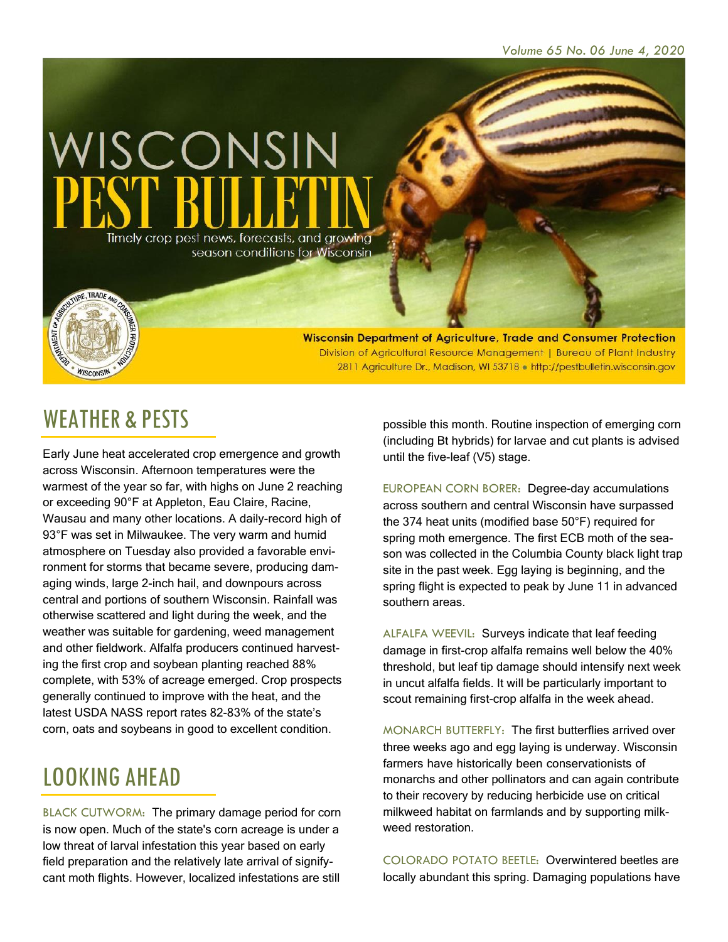

Wisconsin Department of Agriculture, Trade and Consumer Protection Division of Agricultural Resource Management | Bureau of Plant Industry 2811 Agriculture Dr., Madison, WI 53718 . http://pestbulletin.wisconsin.gov

# WEATHER & PESTS

WISCONSIN

Early June heat accelerated crop emergence and growth across Wisconsin. Afternoon temperatures were the warmest of the year so far, with highs on June 2 reaching or exceeding 90°F at Appleton, Eau Claire, Racine, Wausau and many other locations. A daily-record high of 93°F was set in Milwaukee. The very warm and humid atmosphere on Tuesday also provided a favorable environment for storms that became severe, producing damaging winds, large 2-inch hail, and downpours across central and portions of southern Wisconsin. Rainfall was otherwise scattered and light during the week, and the weather was suitable for gardening, weed management and other fieldwork. Alfalfa producers continued harvesting the first crop and soybean planting reached 88% complete, with 53% of acreage emerged. Crop prospects generally continued to improve with the heat, and the latest USDA NASS report rates 82-83% of the state's corn, oats and soybeans in good to excellent condition.

# LOOKING AHEAD

BLACK CUTWORM: The primary damage period for corn is now open. Much of the state's corn acreage is under a low threat of larval infestation this year based on early field preparation and the relatively late arrival of signifycant moth flights. However, localized infestations are still

possible this month. Routine inspection of emerging corn (including Bt hybrids) for larvae and cut plants is advised until the five-leaf (V5) stage.

EUROPEAN CORN BORER: Degree-day accumulations across southern and central Wisconsin have surpassed the 374 heat units (modified base 50°F) required for spring moth emergence. The first ECB moth of the season was collected in the Columbia County black light trap site in the past week. Egg laying is beginning, and the spring flight is expected to peak by June 11 in advanced southern areas.

ALFALFA WEEVIL: Surveys indicate that leaf feeding damage in first-crop alfalfa remains well below the 40% threshold, but leaf tip damage should intensify next week in uncut alfalfa fields. It will be particularly important to scout remaining first-crop alfalfa in the week ahead.

MONARCH BUTTERFLY: The first butterflies arrived over three weeks ago and egg laying is underway. Wisconsin farmers have historically been conservationists of monarchs and other pollinators and can again contribute to their recovery by reducing herbicide use on critical milkweed habitat on farmlands and by supporting milkweed restoration.

COLORADO POTATO BEETLE: Overwintered beetles are locally abundant this spring. Damaging populations have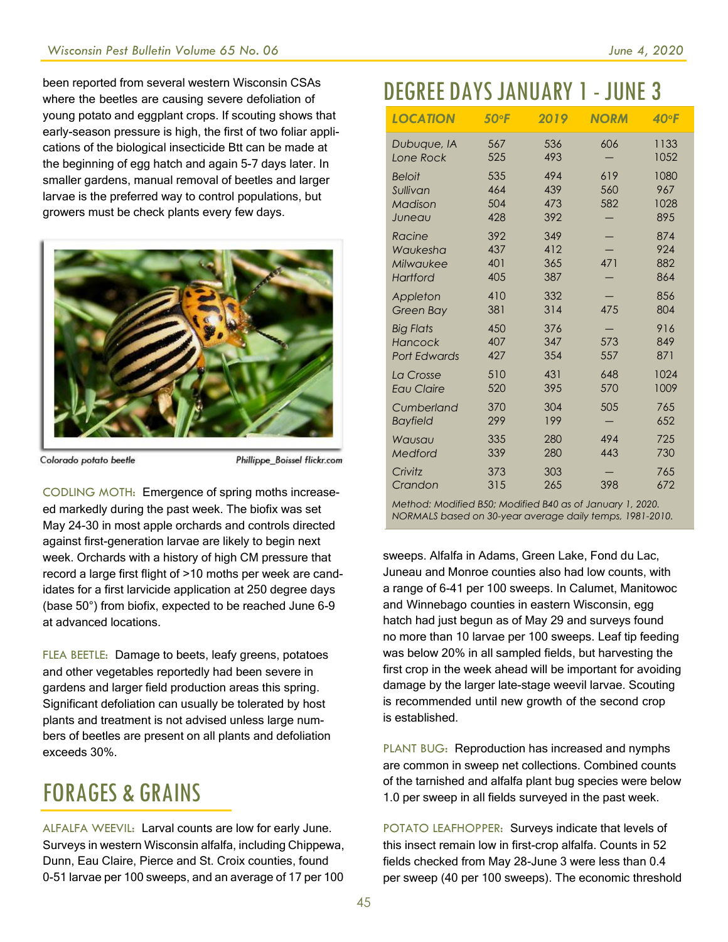been reported from several western Wisconsin CSAs where the beetles are causing severe defoliation of young potato and eggplant crops. If scouting shows that early-season pressure is high, the first of two foliar applications of the biological insecticide Btt can be made at the beginning of egg hatch and again 5-7 days later. In smaller gardens, manual removal of beetles and larger larvae is the preferred way to control populations, but growers must be check plants every few days.



Colorado potato beetle

Phillippe\_Boissel flickr.com

CODLING MOTH: Emergence of spring moths increaseed markedly during the past week. The biofix was set May 24-30 in most apple orchards and controls directed against first-generation larvae are likely to begin next week. Orchards with a history of high CM pressure that record a large first flight of >10 moths per week are candidates for a first larvicide application at 250 degree days (base 50°) from biofix, expected to be reached June 6-9 at advanced locations.

FLEA BEETLE: Damage to beets, leafy greens, potatoes and other vegetables reportedly had been severe in gardens and larger field production areas this spring. Significant defoliation can usually be tolerated by host plants and treatment is not advised unless large numbers of beetles are present on all plants and defoliation exceeds 30%.

# FORAGES & GRAINS

ALFALFA WEEVIL: Larval counts are low for early June. Surveys in western Wisconsin alfalfa, including Chippewa, Dunn, Eau Claire, Pierce and St. Croix counties, found 0-51 larvae per 100 sweeps, and an average of 17 per 100

# DEGREE DAYSJANUARY 1- JUNE 3

| <b>LOCATION</b>                                    | 50°F                     | 2019                     | <b>NORM</b>       | $40°$ F                    |
|----------------------------------------------------|--------------------------|--------------------------|-------------------|----------------------------|
| Dubuque, IA                                        | 567                      | 536                      | 606               | 1133                       |
| Lone Rock                                          | 525                      | 493                      |                   | 1052                       |
| <b>Beloit</b><br>Sullivan<br>Madison<br>Juneau     | 535<br>464<br>504<br>428 | 494<br>439<br>473<br>392 | 619<br>560<br>582 | 1080<br>967<br>1028<br>895 |
| Racine                                             | 392                      | 349                      | 471               | 874                        |
| Waukesha                                           | 437                      | 412                      |                   | 924                        |
| Milwaukee                                          | 401                      | 365                      |                   | 882                        |
| <b>Hartford</b>                                    | 405                      | 387                      |                   | 864                        |
| Appleton                                           | 410                      | 332                      | 475               | 856                        |
| Green Bay                                          | 381                      | 314                      |                   | 804                        |
| <b>Big Flats</b><br>Hancock<br><b>Port Edwards</b> | 450<br>407<br>427        | 376<br>347<br>354        | 573<br>557        | 916<br>849<br>871          |
| La Crosse                                          | 510                      | 431                      | 648               | 1024                       |
| <b>Eau Claire</b>                                  | 520                      | 395                      | 570               | 1009                       |
| Cumberland                                         | 370                      | 304                      | 505               | 765                        |
| <b>Bayfield</b>                                    | 299                      | 199                      |                   | 652                        |
| Wausau                                             | 335                      | 280                      | 494               | 725                        |
| Medford                                            | 339                      | 280                      | 443               | 730                        |
| Crivitz                                            | 373                      | 303                      | 398               | 765                        |
| Crandon                                            | 315                      | 265                      |                   | 672                        |

*Method: Modified B50; Modified B40 as of January 1, 2020. NORMALS based on 30-year average daily temps, 1981-2010.*

sweeps. Alfalfa in Adams, Green Lake, Fond du Lac, Juneau and Monroe counties also had low counts, with a range of 6-41 per 100 sweeps. In Calumet, Manitowoc and Winnebago counties in eastern Wisconsin, egg hatch had just begun as of May 29 and surveys found no more than 10 larvae per 100 sweeps. Leaf tip feeding was below 20% in all sampled fields, but harvesting the first crop in the week ahead will be important for avoiding damage by the larger late-stage weevil larvae. Scouting is recommended until new growth of the second crop is established.

PLANT BUG: Reproduction has increased and nymphs are common in sweep net collections. Combined counts of the tarnished and alfalfa plant bug species were below 1.0 per sweep in all fields surveyed in the past week.

POTATO LEAFHOPPER: Surveys indicate that levels of this insect remain low in first-crop alfalfa. Counts in 52 fields checked from May 28-June 3 were less than 0.4 per sweep (40 per 100 sweeps). The economic threshold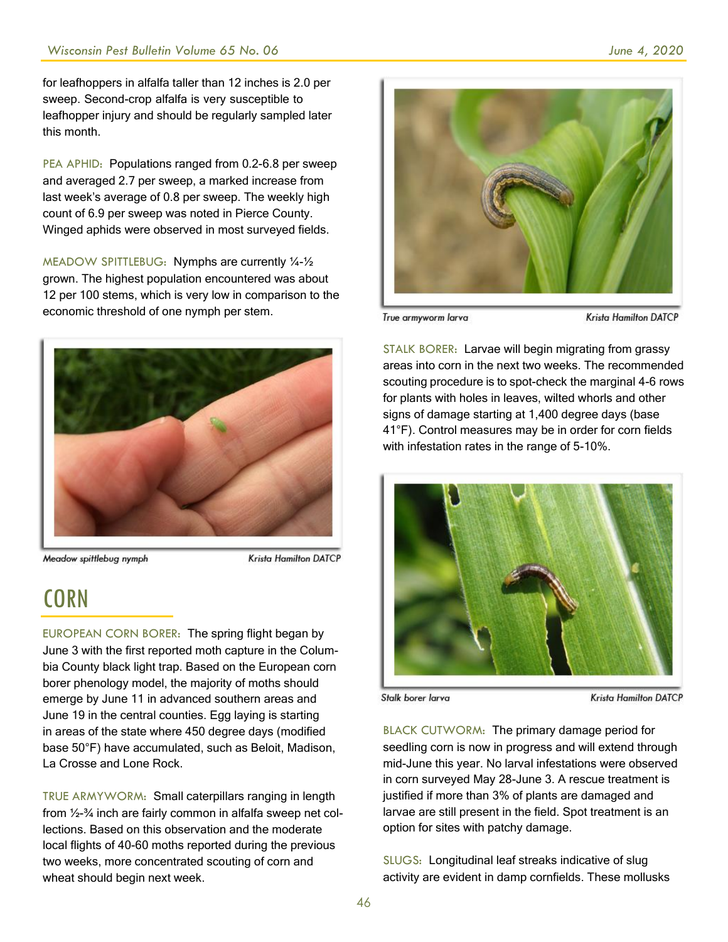for leafhoppers in alfalfa taller than 12 inches is 2.0 per sweep. Second-crop alfalfa is very susceptible to leafhopper injury and should be regularly sampled later this month.

PEA APHID: Populations ranged from 0.2-6.8 per sweep and averaged 2.7 per sweep, a marked increase from last week's average of 0.8 per sweep. The weekly high count of 6.9 per sweep was noted in Pierce County. Winged aphids were observed in most surveyed fields.

MEADOW SPITTLEBUG: Nymphs are currently ¼-½ grown. The highest population encountered was about 12 per 100 stems, which is very low in comparison to the economic threshold of one nymph per stem.



Meadow spittlebug nymph

**Krista Hamilton DATCP** 

# **CORN**

EUROPEAN CORN BORER: The spring flight began by June 3 with the first reported moth capture in the Columbia County black light trap. Based on the European corn borer phenology model, the majority of moths should emerge by June 11 in advanced southern areas and June 19 in the central counties. Egg laying is starting in areas of the state where 450 degree days (modified base 50°F) have accumulated, such as Beloit, Madison, La Crosse and Lone Rock.

TRUE ARMYWORM: Small caterpillars ranging in length from ½-¾ inch are fairly common in alfalfa sweep net collections. Based on this observation and the moderate local flights of 40-60 moths reported during the previous two weeks, more concentrated scouting of corn and wheat should begin next week.



True armyworm larva

**Krista Hamilton DATCP** 

STALK BORER: Larvae will begin migrating from grassy areas into corn in the next two weeks. The recommended scouting procedure is to spot-check the marginal 4-6 rows for plants with holes in leaves, wilted whorls and other signs of damage starting at 1,400 degree days (base 41°F). Control measures may be in order for corn fields with infestation rates in the range of 5-10%.



Stalk borer larva

**Krista Hamilton DATCP** 

BLACK CUTWORM: The primary damage period for seedling corn is now in progress and will extend through mid-June this year. No larval infestations were observed in corn surveyed May 28-June 3. A rescue treatment is justified if more than 3% of plants are damaged and larvae are still present in the field. Spot treatment is an option for sites with patchy damage.

SLUGS: Longitudinal leaf streaks indicative of slug activity are evident in damp cornfields. These mollusks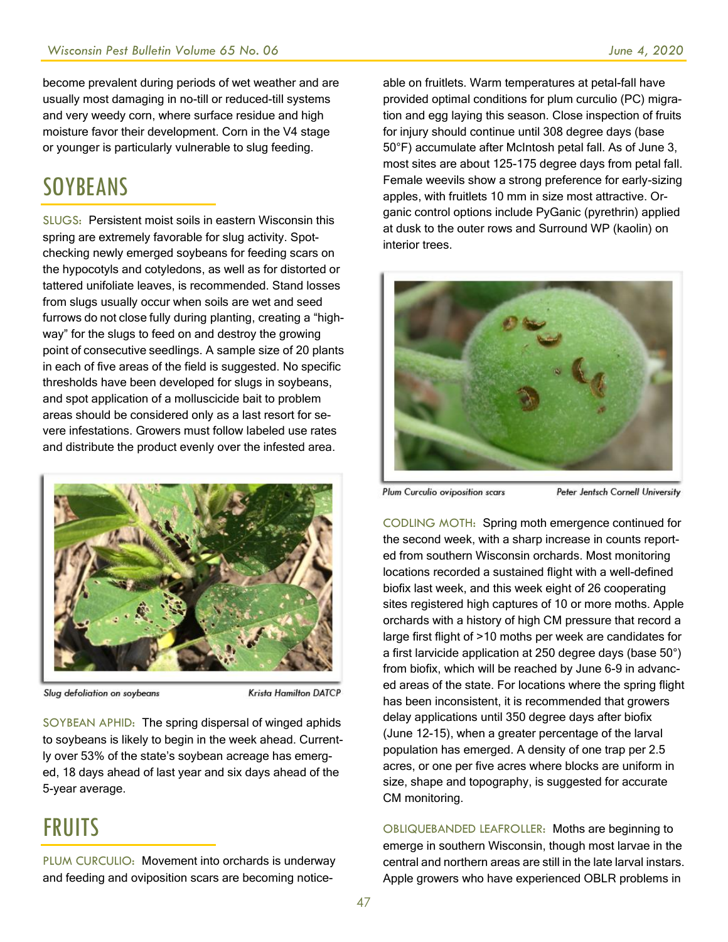become prevalent during periods of wet weather and are usually most damaging in no-till or reduced-till systems and very weedy corn, where surface residue and high moisture favor their development. Corn in the V4 stage or younger is particularly vulnerable to slug feeding.

#### **SOYBEANS**

SLUGS: Persistent moist soils in eastern Wisconsin this spring are extremely favorable for slug activity. Spotchecking newly emerged soybeans for feeding scars on the hypocotyls and cotyledons, as well as for distorted or tattered unifoliate leaves, is recommended. Stand losses from slugs usually occur when soils are wet and seed furrows do not close fully during planting, creating a "highway" for the slugs to feed on and destroy the growing point of consecutive seedlings. A sample size of 20 plants in each of five areas of the field is suggested. No specific thresholds have been developed for slugs in soybeans, and spot application of a molluscicide bait to problem areas should be considered only as a last resort for severe infestations. Growers must follow labeled use rates and distribute the product evenly over the infested area.



Slug defoliation on soybeans

Krista Hamilton DATCP

SOYBEAN APHID: The spring dispersal of winged aphids to soybeans is likely to begin in the week ahead. Currently over 53% of the state's soybean acreage has emerged, 18 days ahead of last year and six days ahead of the 5-year average.

### FRUITS

PLUM CURCULIO: Movement into orchards is underway and feeding and oviposition scars are becoming noticeable on fruitlets. Warm temperatures at petal-fall have provided optimal conditions for plum curculio (PC) migration and egg laying this season. Close inspection of fruits for injury should continue until 308 degree days (base 50°F) accumulate after McIntosh petal fall. As of June 3, most sites are about 125-175 degree days from petal fall. Female weevils show a strong preference for early-sizing apples, with fruitlets 10 mm in size most attractive. Organic control options include PyGanic (pyrethrin) applied at dusk to the outer rows and Surround WP (kaolin) on interior trees.



Plum Curculio oviposition scars

Peter Jentsch Cornell University

CODLING MOTH: Spring moth emergence continued for the second week, with a sharp increase in counts reported from southern Wisconsin orchards. Most monitoring locations recorded a sustained flight with a well-defined biofix last week, and this week eight of 26 cooperating sites registered high captures of 10 or more moths. Apple orchards with a history of high CM pressure that record a large first flight of >10 moths per week are candidates for a first larvicide application at 250 degree days (base 50°) from biofix, which will be reached by June 6-9 in advanced areas of the state. For locations where the spring flight has been inconsistent, it is recommended that growers delay applications until 350 degree days after biofix (June 12-15), when a greater percentage of the larval population has emerged. A density of one trap per 2.5 acres, or one per five acres where blocks are uniform in size, shape and topography, is suggested for accurate CM monitoring.

OBLIQUEBANDED LEAFROLLER: Moths are beginning to emerge in southern Wisconsin, though most larvae in the central and northern areas are still in the late larval instars. Apple growers who have experienced OBLR problems in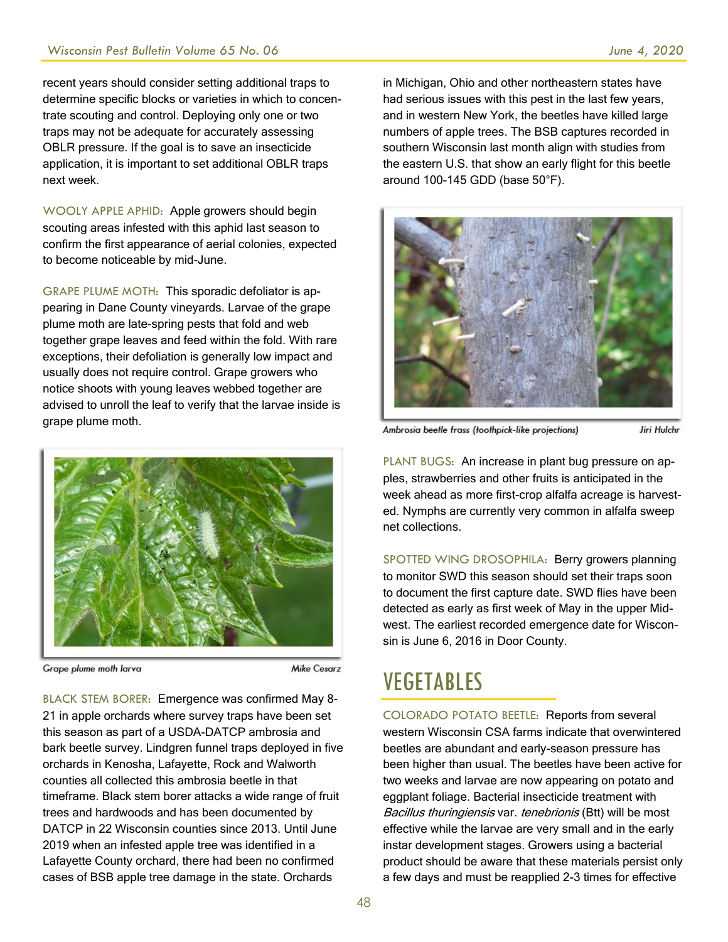recent years should consider setting additional traps to determine specific blocks or varieties in which to concentrate scouting and control. Deploying only one or two traps may not be adequate for accurately assessing OBLR pressure. If the goal is to save an insecticide application, it is important to set additional OBLR traps next week.

WOOLY APPLE APHID: Apple growers should begin scouting areas infested with this aphid last season to confirm the first appearance of aerial colonies, expected to become noticeable by mid-June.

GRAPE PLUME MOTH: This sporadic defoliator is appearing in Dane County vineyards. Larvae of the grape plume moth are late-spring pests that fold and web together grape leaves and feed within the fold. With rare exceptions, their defoliation is generally low impact and usually does not require control. Grape growers who notice shoots with young leaves webbed together are advised to unroll the leaf to verify that the larvae inside is grape plume moth.



Grape plume moth larva

**Mike Cesarz** 

BLACK STEM BORER: Emergence was confirmed May 8- 21 in apple orchards where survey traps have been set this season as part of a USDA-DATCP ambrosia and bark beetle survey. Lindgren funnel traps deployed in five orchards in Kenosha, Lafayette, Rock and Walworth counties all collected this ambrosia beetle in that timeframe. Black stem borer attacks a wide range of fruit trees and hardwoods and has been documented by DATCP in 22 Wisconsin counties since 2013. Until June 2019 when an infested apple tree was identified in a Lafayette County orchard, there had been no confirmed cases of BSB apple tree damage in the state. Orchards

in Michigan, Ohio and other northeastern states have had serious issues with this pest in the last few years, and in western New York, the beetles have killed large numbers of apple trees. The BSB captures recorded in southern Wisconsin last month align with studies from the eastern U.S. that show an early flight for this beetle around 100-145 GDD (base 50°F).



Ambrosia beetle frass (toothpick-like projections)

Jiri Hulchr

PLANT BUGS: An increase in plant bug pressure on apples, strawberries and other fruits is anticipated in the week ahead as more first-crop alfalfa acreage is harvested. Nymphs are currently very common in alfalfa sweep net collections.

SPOTTED WING DROSOPHILA: Berry growers planning to monitor SWD this season should set their traps soon to document the first capture date. SWD flies have been detected as early as first week of May in the upper Midwest. The earliest recorded emergence date for Wisconsin is June 6, 2016 in Door County.

### VEGETABLES

COLORADO POTATO BEETLE: Reports from several western Wisconsin CSA farms indicate that overwintered beetles are abundant and early-season pressure has been higher than usual. The beetles have been active for two weeks and larvae are now appearing on potato and eggplant foliage. Bacterial insecticide treatment with Bacillus thuringiensis var. tenebrionis (Btt) will be most effective while the larvae are very small and in the early instar development stages. Growers using a bacterial product should be aware that these materials persist only a few days and must be reapplied 2-3 times for effective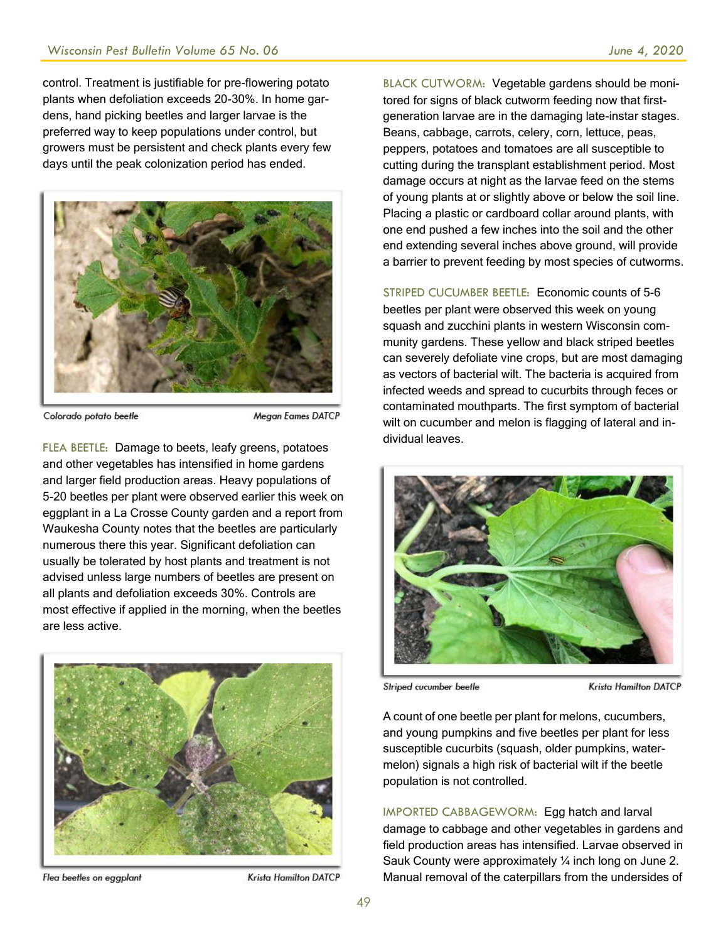control. Treatment is justifiable for pre-flowering potato plants when defoliation exceeds 20-30%. In home gardens, hand picking beetles and larger larvae is the preferred way to keep populations under control, but growers must be persistent and check plants every few days until the peak colonization period has ended.



Colorado potato beetle

Megan Eames DATCP

FLEA BEETLE: Damage to beets, leafy greens, potatoes and other vegetables has intensified in home gardens and larger field production areas. Heavy populations of 5-20 beetles per plant were observed earlier this week on eggplant in a La Crosse County garden and a report from Waukesha County notes that the beetles are particularly numerous there this year. Significant defoliation can usually be tolerated by host plants and treatment is not advised unless large numbers of beetles are present on all plants and defoliation exceeds 30%. Controls are most effective if applied in the morning, when the beetles are less active.



Flea beetles on eggplant

Krista Hamilton DATCP

BLACK CUTWORM: Vegetable gardens should be monitored for signs of black cutworm feeding now that firstgeneration larvae are in the damaging late-instar stages. Beans, cabbage, carrots, celery, corn, lettuce, peas, peppers, potatoes and tomatoes are all susceptible to cutting during the transplant establishment period. Most damage occurs at night as the larvae feed on the stems of young plants at or slightly above or below the soil line. Placing a plastic or cardboard collar around plants, with one end pushed a few inches into the soil and the other end extending several inches above ground, will provide a barrier to prevent feeding by most species of cutworms.

STRIPED CUCUMBER BEETLE: Economic counts of 5-6 beetles per plant were observed this week on young squash and zucchini plants in western Wisconsin community gardens. These yellow and black striped beetles can severely defoliate vine crops, but are most damaging as vectors of bacterial wilt. The bacteria is acquired from infected weeds and spread to cucurbits through feces or contaminated mouthparts. The first symptom of bacterial wilt on cucumber and melon is flagging of lateral and individual leaves.



Striped cucumber beetle

**Krista Hamilton DATCP** 

A count of one beetle per plant for melons, cucumbers, and young pumpkins and five beetles per plant for less susceptible cucurbits (squash, older pumpkins, watermelon) signals a high risk of bacterial wilt if the beetle population is not controlled.

IMPORTED CABBAGEWORM: Egg hatch and larval damage to cabbage and other vegetables in gardens and field production areas has intensified. Larvae observed in Sauk County were approximately ¼ inch long on June 2. Manual removal of the caterpillars from the undersides of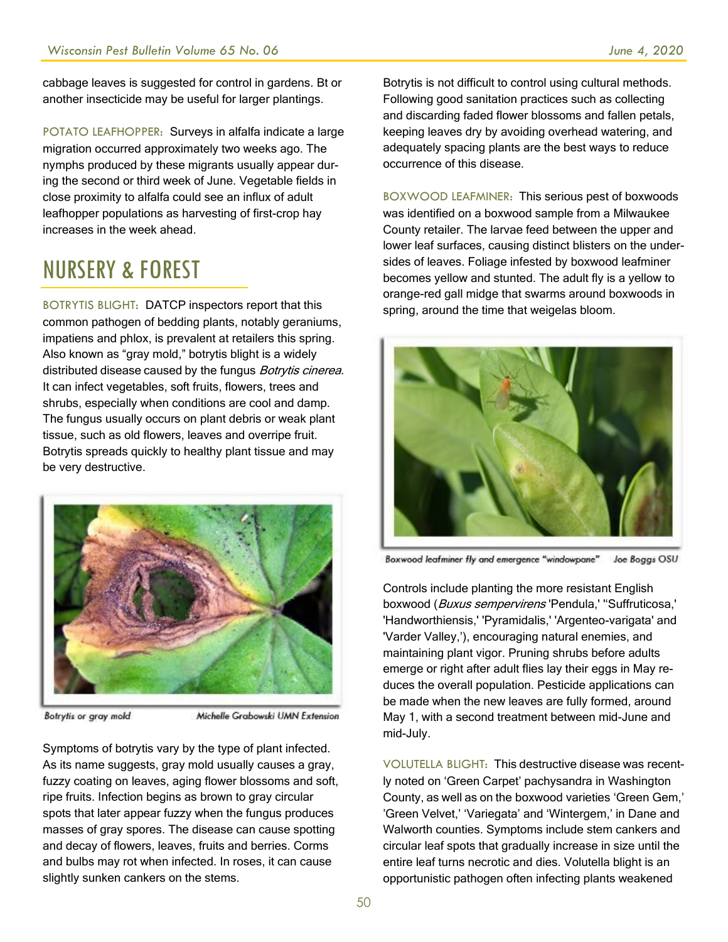cabbage leaves is suggested for control in gardens. Bt or another insecticide may be useful for larger plantings.

POTATO LEAFHOPPER: Surveys in alfalfa indicate a large migration occurred approximately two weeks ago. The nymphs produced by these migrants usually appear during the second or third week of June. Vegetable fields in close proximity to alfalfa could see an influx of adult leafhopper populations as harvesting of first-crop hay increases in the week ahead.

# NURSERY & FOREST

BOTRYTIS BLIGHT: DATCP inspectors report that this common pathogen of bedding plants, notably geraniums, impatiens and phlox, is prevalent at retailers this spring. Also known as "gray mold," botrytis blight is a widely distributed disease caused by the fungus *Botrytis cinerea*. It can infect vegetables, soft fruits, flowers, trees and shrubs, especially when conditions are cool and damp. The fungus usually occurs on plant debris or weak plant tissue, such as old flowers, leaves and overripe fruit. Botrytis spreads quickly to healthy plant tissue and may be very destructive.



**Botrytis or gray mold** 

Michelle Grabowski UMN Extension

Symptoms of botrytis vary by the type of plant infected. As its name suggests, gray mold usually causes a gray, fuzzy coating on leaves, aging flower blossoms and soft, ripe fruits. Infection begins as brown to gray circular spots that later appear fuzzy when the fungus produces masses of gray spores. The disease can cause spotting and decay of flowers, leaves, fruits and berries. Corms and bulbs may rot when infected. In roses, it can cause slightly sunken cankers on the stems.

Botrytis is not difficult to control using cultural methods. Following good sanitation practices such as collecting and discarding faded flower blossoms and fallen petals, keeping leaves dry by avoiding overhead watering, and adequately spacing plants are the best ways to reduce occurrence of this disease.

BOXWOOD LEAFMINER: This serious pest of boxwoods was identified on a boxwood sample from a Milwaukee County retailer. The larvae feed between the upper and lower leaf surfaces, causing distinct blisters on the undersides of leaves. Foliage infested by boxwood leafminer becomes yellow and stunted. The adult fly is a yellow to orange-red gall midge that swarms around boxwoods in spring, around the time that weigelas bloom.



Boxwood leafminer fly and emergence "windowpane" Joe Boggs OSU

Controls include planting the more resistant English boxwood (Buxus sempervirens 'Pendula,' "Suffruticosa,' 'Handworthiensis,' 'Pyramidalis,' 'Argenteo-varigata' and 'Varder Valley,'), encouraging natural enemies, and maintaining plant vigor. Pruning shrubs before adults emerge or right after adult flies lay their eggs in May reduces the overall population. Pesticide applications can be made when the new leaves are fully formed, around May 1, with a second treatment between mid-June and mid-July.

VOLUTELLA BLIGHT: This destructive disease was recently noted on 'Green Carpet' pachysandra in Washington County, as well as on the boxwood varieties 'Green Gem,' 'Green Velvet,' 'Variegata' and 'Wintergem,' in Dane and Walworth counties. Symptoms include stem cankers and circular leaf spots that gradually increase in size until the entire leaf turns necrotic and dies. Volutella blight is an opportunistic pathogen often infecting plants weakened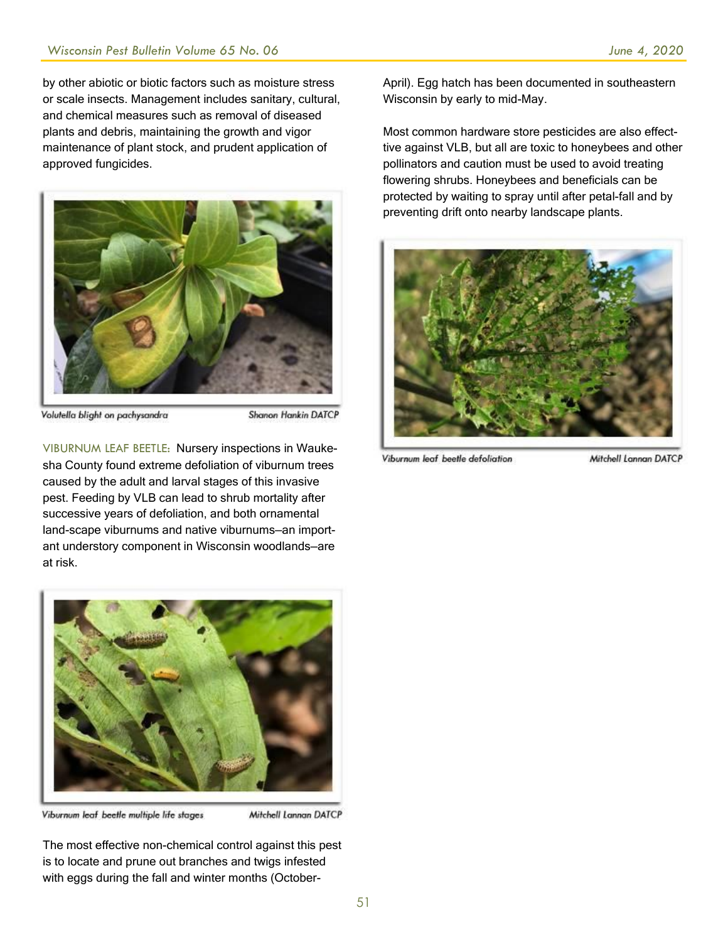by other abiotic or biotic factors such as moisture stress or scale insects. Management includes sanitary, cultural, and chemical measures such as removal of diseased plants and debris, maintaining the growth and vigor maintenance of plant stock, and prudent application of approved fungicides.



Volutella blight on pachysandra

Shanon Hankin DATCP

VIBURNUM LEAF BEETLE: Nursery inspections in Waukesha County found extreme defoliation of viburnum trees caused by the adult and larval stages of this invasive pest. Feeding by VLB can lead to shrub mortality after successive years of defoliation, and both ornamental land-scape viburnums and native viburnums—an important understory component in Wisconsin woodlands—are at risk.



Viburnum leaf beetle multiple life stages

Mitchell Lannan DATCP

The most effective non-chemical control against this pest is to locate and prune out branches and twigs infested with eggs during the fall and winter months (OctoberApril). Egg hatch has been documented in southeastern Wisconsin by early to mid-May.

Most common hardware store pesticides are also effecttive against VLB, but all are toxic to honeybees and other pollinators and caution must be used to avoid treating flowering shrubs. Honeybees and beneficials can be protected by waiting to spray until after petal-fall and by preventing drift onto nearby landscape plants.



Viburnum leaf beetle defoliation

Mitchell Lannan DATCP